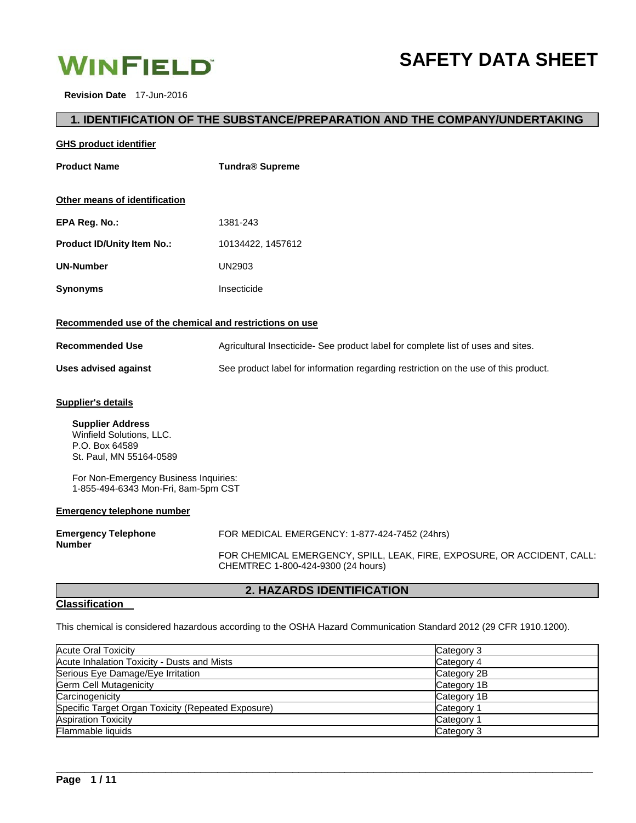

# **SAFETY DATA SHEET**

**Revision Date** 17-Jun-2016

# **1. IDENTIFICATION OF THE SUBSTANCE/PREPARATION AND THE COMPANY/UNDERTAKING**

#### **GHS product identifier**

| <b>Product Name</b>                                     | <b>Tundra<sup>®</sup> Supreme</b>                                                   |
|---------------------------------------------------------|-------------------------------------------------------------------------------------|
| Other means of identification                           |                                                                                     |
| EPA Reg. No.:                                           | 1381-243                                                                            |
| <b>Product ID/Unity Item No.:</b>                       | 10134422, 1457612                                                                   |
| <b>UN-Number</b>                                        | <b>UN2903</b>                                                                       |
| Synonyms                                                | Insecticide                                                                         |
| Recommended use of the chemical and restrictions on use |                                                                                     |
| <b>Recommended Use</b>                                  | Agricultural Insecticide-See product label for complete list of uses and sites.     |
| <b>Uses advised against</b>                             | See product label for information regarding restriction on the use of this product. |
| <b>Supplier's details</b>                               |                                                                                     |
| <b>Supplier Address</b>                                 |                                                                                     |

**Supplier Address** Winfield Solutions, LLC. P.O. Box 64589 St. Paul, MN 55164-0589

For Non-Emergency Business Inquiries: 1-855-494-6343 Mon-Fri, 8am-5pm CST

#### **Emergency telephone number**

| <b>Emergency Telephone</b><br><b>Number</b> | FOR MEDICAL EMERGENCY: 1-877-424-7452 (24hrs)                                                                 |  |  |
|---------------------------------------------|---------------------------------------------------------------------------------------------------------------|--|--|
|                                             | FOR CHEMICAL EMERGENCY, SPILL, LEAK, FIRE, EXPOSURE, OR ACCIDENT, CALL:<br>CHEMTREC 1-800-424-9300 (24 hours) |  |  |

### **2. HAZARDS IDENTIFICATION**

# **Classification**

This chemical is considered hazardous according to the OSHA Hazard Communication Standard 2012 (29 CFR 1910.1200).

| <b>Acute Oral Toxicity</b>                         | Category 3  |
|----------------------------------------------------|-------------|
| Acute Inhalation Toxicity - Dusts and Mists        | Category 4  |
| Serious Eye Damage/Eye Irritation                  | Category 2B |
| <b>Germ Cell Mutagenicity</b>                      | Category 1B |
| Carcinogenicity                                    | Category 1B |
| Specific Target Organ Toxicity (Repeated Exposure) | Category 1  |
| <b>Aspiration Toxicity</b>                         | Category 1  |
| Flammable liquids                                  | Category 3  |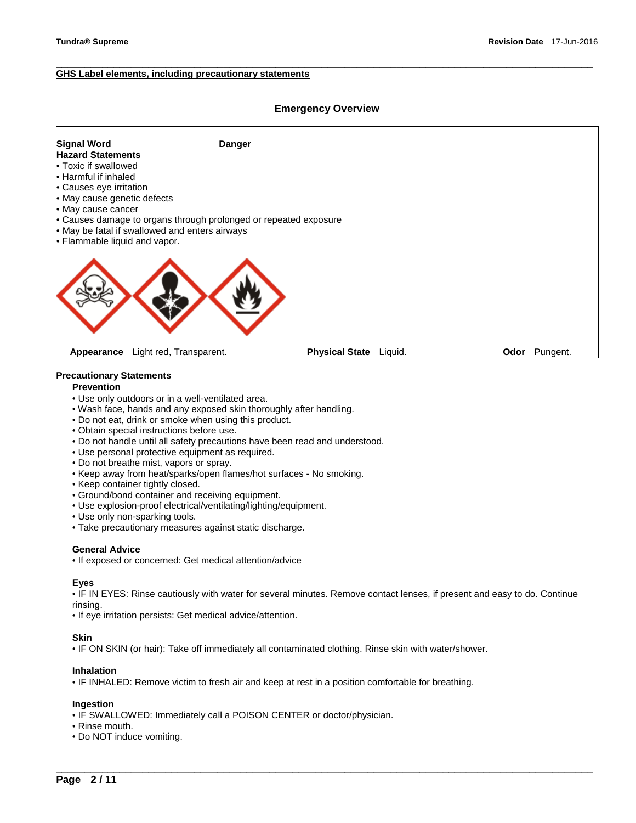#### **GHS Label elements, including precautionary statements**

#### **Emergency Overview**

\_\_\_\_\_\_\_\_\_\_\_\_\_\_\_\_\_\_\_\_\_\_\_\_\_\_\_\_\_\_\_\_\_\_\_\_\_\_\_\_\_\_\_\_\_\_\_\_\_\_\_\_\_\_\_\_\_\_\_\_\_\_\_\_\_\_\_\_\_\_\_\_\_\_\_\_\_\_\_\_\_\_\_\_\_\_\_\_\_\_\_\_\_



#### **Precautionary Statements**

#### **Prevention**

- Use only outdoors or in a well-ventilated area.
- Wash face, hands and any exposed skin thoroughly after handling.
- Do not eat, drink or smoke when using this product.
- Obtain special instructions before use.
- Do not handle until all safety precautions have been read and understood.
- Use personal protective equipment as required.
- Do not breathe mist, vapors or spray.
- Keep away from heat/sparks/open flames/hot surfaces No smoking.
- Keep container tightly closed.
- Ground/bond container and receiving equipment.
- Use explosion-proof electrical/ventilating/lighting/equipment.
- Use only non-sparking tools.
- Take precautionary measures against static discharge.

#### **General Advice**

• If exposed or concerned: Get medical attention/advice

#### **Eyes**

• IF IN EYES: Rinse cautiously with water for several minutes. Remove contact lenses, if present and easy to do. Continue rinsing.

\_\_\_\_\_\_\_\_\_\_\_\_\_\_\_\_\_\_\_\_\_\_\_\_\_\_\_\_\_\_\_\_\_\_\_\_\_\_\_\_\_\_\_\_\_\_\_\_\_\_\_\_\_\_\_\_\_\_\_\_\_\_\_\_\_\_\_\_\_\_\_\_\_\_\_\_\_\_\_\_\_\_\_\_\_\_\_\_\_\_\_\_\_

• If eye irritation persists: Get medical advice/attention.

#### **Skin**

• IF ON SKIN (or hair): Take off immediately all contaminated clothing. Rinse skin with water/shower.

#### **Inhalation**

• IF INHALED: Remove victim to fresh air and keep at rest in a position comfortable for breathing.

#### **Ingestion**

- IF SWALLOWED: Immediately call a POISON CENTER or doctor/physician.
- Rinse mouth.
- Do NOT induce vomiting.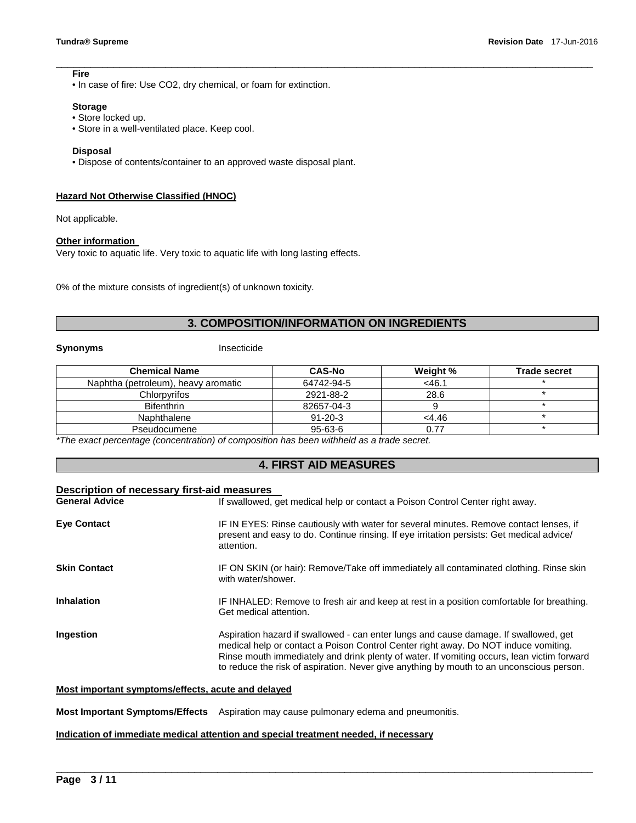#### **Fire**

• In case of fire: Use CO2, dry chemical, or foam for extinction.

#### **Storage**

#### • Store locked up.

• Store in a well-ventilated place. Keep cool.

#### **Disposal**

• Dispose of contents/container to an approved waste disposal plant.

#### **Hazard Not Otherwise Classified (HNOC)**

Not applicable.

#### **Other information**

Very toxic to aquatic life. Very toxic to aquatic life with long lasting effects.

0% of the mixture consists of ingredient(s) of unknown toxicity.

# **3. COMPOSITION/INFORMATION ON INGREDIENTS**

\_\_\_\_\_\_\_\_\_\_\_\_\_\_\_\_\_\_\_\_\_\_\_\_\_\_\_\_\_\_\_\_\_\_\_\_\_\_\_\_\_\_\_\_\_\_\_\_\_\_\_\_\_\_\_\_\_\_\_\_\_\_\_\_\_\_\_\_\_\_\_\_\_\_\_\_\_\_\_\_\_\_\_\_\_\_\_\_\_\_\_\_\_

#### **Synonyms** Insecticide

| <b>Chemical Name</b>                | <b>CAS-No</b> | Weight % | <b>Trade secret</b> |
|-------------------------------------|---------------|----------|---------------------|
| Naphtha (petroleum), heavy aromatic | 64742-94-5    | $<$ 46.1 |                     |
| Chlorpyrifos                        | 2921-88-2     | 28.6     |                     |
| <b>Bifenthrin</b>                   | 82657-04-3    |          |                     |
| Naphthalene                         | $91 - 20 - 3$ | < 4.46   |                     |
| Pseudocumene                        | $95 - 63 - 6$ | 0.77     |                     |

*\*The exact percentage (concentration) of composition has been withheld as a trade secret.* 

# **4. FIRST AID MEASURES**

# **Description of necessary first-aid measures**  If swallowed, get medical help or contact a Poison Control Center right away. **Eye Contact** IF IN EYES: Rinse cautiously with water for several minutes. Remove contact lenses, if present and easy to do. Continue rinsing. If eye irritation persists: Get medical advice/ attention. **Skin Contact IF ON SKIN** (or hair): Remove/Take off immediately all contaminated clothing. Rinse skin with water/shower. **Inhalation IF INHALED:** Remove to fresh air and keep at rest in a position comfortable for breathing. Get medical attention. **Ingestion Aspiration hazard if swallowed - can enter lungs and cause damage. If swallowed, get is and reading the system of the Aspiration hazard if swallowed - can enter lungs and cause damage. If swallowed, get** medical help or contact a Poison Control Center right away. Do NOT induce vomiting. Rinse mouth immediately and drink plenty of water. If vomiting occurs, lean victim forward to reduce the risk of aspiration. Never give anything by mouth to an unconscious person. **Most important symptoms/effects, acute and delayed**

\_\_\_\_\_\_\_\_\_\_\_\_\_\_\_\_\_\_\_\_\_\_\_\_\_\_\_\_\_\_\_\_\_\_\_\_\_\_\_\_\_\_\_\_\_\_\_\_\_\_\_\_\_\_\_\_\_\_\_\_\_\_\_\_\_\_\_\_\_\_\_\_\_\_\_\_\_\_\_\_\_\_\_\_\_\_\_\_\_\_\_\_\_

**Most Important Symptoms/Effects** Aspiration may cause pulmonary edema and pneumonitis.

#### **Indication of immediate medical attention and special treatment needed, if necessary**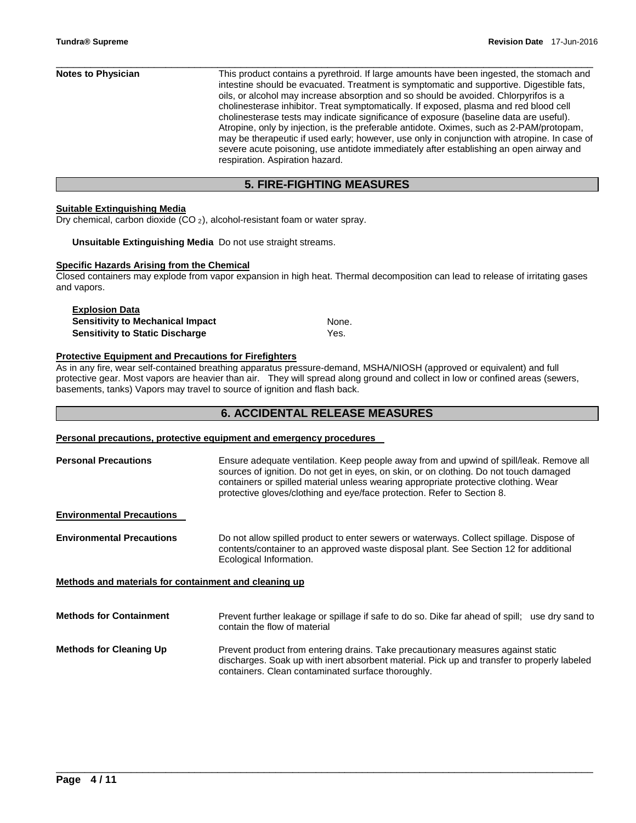**Notes to Physician** This product contains a pyrethroid. If large amounts have been ingested, the stomach and intestine should be evacuated. Treatment is symptomatic and supportive. Digestible fats, oils, or alcohol may increase absorption and so should be avoided. Chlorpyrifos is a cholinesterase inhibitor. Treat symptomatically. If exposed, plasma and red blood cell cholinesterase tests may indicate significance of exposure (baseline data are useful). Atropine, only by injection, is the preferable antidote. Oximes, such as 2-PAM/protopam, may be therapeutic if used early; however, use only in conjunction with atropine. In case of severe acute poisoning, use antidote immediately after establishing an open airway and respiration. Aspiration hazard.

# **5. FIRE-FIGHTING MEASURES**

\_\_\_\_\_\_\_\_\_\_\_\_\_\_\_\_\_\_\_\_\_\_\_\_\_\_\_\_\_\_\_\_\_\_\_\_\_\_\_\_\_\_\_\_\_\_\_\_\_\_\_\_\_\_\_\_\_\_\_\_\_\_\_\_\_\_\_\_\_\_\_\_\_\_\_\_\_\_\_\_\_\_\_\_\_\_\_\_\_\_\_\_\_

#### **Suitable Extinguishing Media**

Dry chemical, carbon dioxide (CO 2), alcohol-resistant foam or water spray.

**Unsuitable Extinguishing Media** Do not use straight streams.

#### **Specific Hazards Arising from the Chemical**

Closed containers may explode from vapor expansion in high heat. Thermal decomposition can lead to release of irritating gases and vapors.

| <b>Explosion Data</b>                   |       |
|-----------------------------------------|-------|
| <b>Sensitivity to Mechanical Impact</b> | None. |
| <b>Sensitivity to Static Discharge</b>  | Yes.  |

#### **Protective Equipment and Precautions for Firefighters**

As in any fire, wear self-contained breathing apparatus pressure-demand, MSHA/NIOSH (approved or equivalent) and full protective gear. Most vapors are heavier than air. They will spread along ground and collect in low or confined areas (sewers, basements, tanks) Vapors may travel to source of ignition and flash back.

#### **6. ACCIDENTAL RELEASE MEASURES**

#### **Personal precautions, protective equipment and emergency procedures**

| <b>Personal Precautions</b>                           | Ensure adequate ventilation. Keep people away from and upwind of spill/leak. Remove all<br>sources of ignition. Do not get in eyes, on skin, or on clothing. Do not touch damaged<br>containers or spilled material unless wearing appropriate protective clothing. Wear<br>protective gloves/clothing and eye/face protection. Refer to Section 8. |
|-------------------------------------------------------|-----------------------------------------------------------------------------------------------------------------------------------------------------------------------------------------------------------------------------------------------------------------------------------------------------------------------------------------------------|
| <b>Environmental Precautions</b>                      |                                                                                                                                                                                                                                                                                                                                                     |
| <b>Environmental Precautions</b>                      | Do not allow spilled product to enter sewers or waterways. Collect spillage. Dispose of<br>contents/container to an approved waste disposal plant. See Section 12 for additional<br>Ecological Information.                                                                                                                                         |
| Methods and materials for containment and cleaning up |                                                                                                                                                                                                                                                                                                                                                     |
| <b>Methods for Containment</b>                        | Prevent further leakage or spillage if safe to do so. Dike far ahead of spill; use dry sand to<br>contain the flow of material                                                                                                                                                                                                                      |
| <b>Methods for Cleaning Up</b>                        | Prevent product from entering drains. Take precautionary measures against static<br>discharges. Soak up with inert absorbent material. Pick up and transfer to properly labeled<br>containers. Clean contaminated surface thoroughly.                                                                                                               |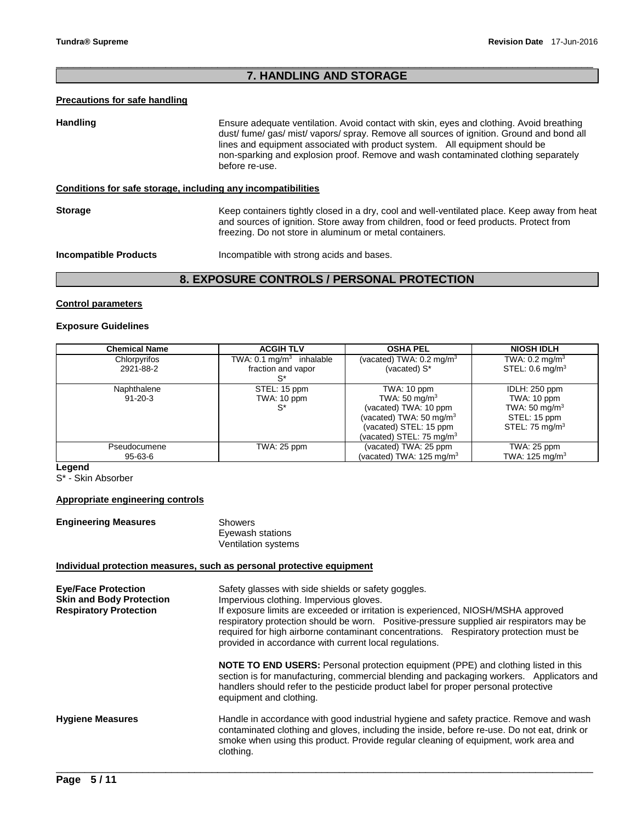#### \_\_\_\_\_\_\_\_\_\_\_\_\_\_\_\_\_\_\_\_\_\_\_\_\_\_\_\_\_\_\_\_\_\_\_\_\_\_\_\_\_\_\_\_\_\_\_\_\_\_\_\_\_\_\_\_\_\_\_\_\_\_\_\_\_\_\_\_\_\_\_\_\_\_\_\_\_\_\_\_\_\_\_\_\_\_\_\_\_\_\_\_\_ **7. HANDLING AND STORAGE**

# **Precautions for safe handling**

| <b>Handling</b>                                              | Ensure adequate ventilation. Avoid contact with skin, eyes and clothing. Avoid breathing<br>dust/fume/gas/mist/vapors/spray. Remove all sources of ignition. Ground and bond all<br>lines and equipment associated with product system. All equipment should be<br>non-sparking and explosion proof. Remove and wash contaminated clothing separately<br>before re-use. |
|--------------------------------------------------------------|-------------------------------------------------------------------------------------------------------------------------------------------------------------------------------------------------------------------------------------------------------------------------------------------------------------------------------------------------------------------------|
| Conditions for safe storage, including any incompatibilities |                                                                                                                                                                                                                                                                                                                                                                         |
| <b>Storage</b>                                               | Keep containers tightly closed in a dry, cool and well-ventilated place. Keep away from heat<br>and sources of ignition. Store away from children, food or feed products. Protect from<br>freezing. Do not store in aluminum or metal containers.                                                                                                                       |
| <b>Incompatible Products</b>                                 | Incompatible with strong acids and bases.                                                                                                                                                                                                                                                                                                                               |

# **8. EXPOSURE CONTROLS / PERSONAL PROTECTION**

# **Control parameters**

#### **Exposure Guidelines**

| <b>Chemical Name</b> | <b>ACGIH TLV</b>                    | <b>OSHA PEL</b>                     | <b>NIOSH IDLH</b>             |
|----------------------|-------------------------------------|-------------------------------------|-------------------------------|
| Chlorpyrifos         | TWA: $0.1 \text{ mg/m}^3$ inhalable | (vacated) TWA: $0.2 \text{ mg/m}^3$ | TWA: $0.2 \text{ mg/m}^3$     |
| 2921-88-2            | fraction and vapor                  | (vacated) S*                        | STEL: $0.6$ mg/m <sup>3</sup> |
|                      |                                     |                                     |                               |
| Naphthalene          | STEL: 15 ppm                        | TWA: 10 ppm                         | IDLH: 250 ppm                 |
| $91 - 20 - 3$        | TWA: 10 ppm                         | TWA: 50 mg/m <sup>3</sup>           | TWA: 10 ppm                   |
|                      | S*                                  | (vacated) TWA: 10 ppm               | TWA: $50 \text{ mg/m}^3$      |
|                      |                                     | (vacated) TWA: 50 mg/m $3$          | STEL: 15 ppm                  |
|                      |                                     | (vacated) STEL: 15 ppm              | STEL: $75 \text{ mg/m}^3$     |
|                      |                                     | (vacated) STEL: 75 mg/m $3$         |                               |
| Pseudocumene         | TWA: 25 ppm                         | (vacated) TWA: 25 ppm               | TWA: 25 ppm                   |
| 95-63-6              |                                     | (vacated) TWA: 125 mg/m $3$         | TWA: $125 \text{ mg/m}^3$     |

# **Legend**

S\* - Skin Absorber

### **Appropriate engineering controls**

| <b>Engineering Measures</b> | Showers             |  |
|-----------------------------|---------------------|--|
|                             | Eyewash stations    |  |
|                             | Ventilation systems |  |

# **Individual protection measures, such as personal protective equipment**

| <b>Eye/Face Protection</b><br><b>Skin and Body Protection</b><br><b>Respiratory Protection</b> | Safety glasses with side shields or safety goggles.<br>Impervious clothing. Impervious gloves.<br>If exposure limits are exceeded or irritation is experienced, NIOSH/MSHA approved<br>respiratory protection should be worn. Positive-pressure supplied air respirators may be<br>required for high airborne contaminant concentrations. Respiratory protection must be<br>provided in accordance with current local regulations. |
|------------------------------------------------------------------------------------------------|------------------------------------------------------------------------------------------------------------------------------------------------------------------------------------------------------------------------------------------------------------------------------------------------------------------------------------------------------------------------------------------------------------------------------------|
|                                                                                                | <b>NOTE TO END USERS:</b> Personal protection equipment (PPE) and clothing listed in this<br>section is for manufacturing, commercial blending and packaging workers. Applicators and<br>handlers should refer to the pesticide product label for proper personal protective<br>equipment and clothing.                                                                                                                            |
| <b>Hygiene Measures</b>                                                                        | Handle in accordance with good industrial hygiene and safety practice. Remove and wash<br>contaminated clothing and gloves, including the inside, before re-use. Do not eat, drink or<br>smoke when using this product. Provide regular cleaning of equipment, work area and<br>clothing.                                                                                                                                          |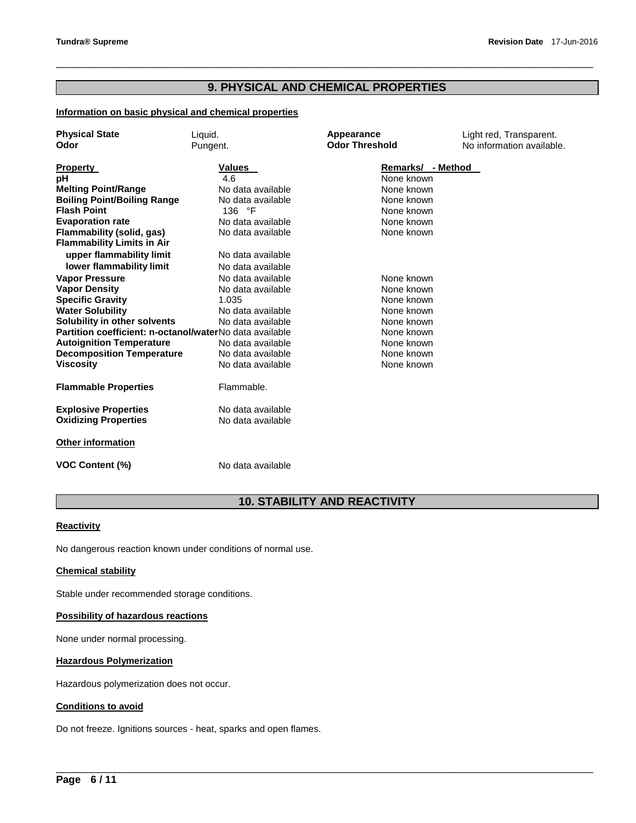# **9. PHYSICAL AND CHEMICAL PROPERTIES**

\_\_\_\_\_\_\_\_\_\_\_\_\_\_\_\_\_\_\_\_\_\_\_\_\_\_\_\_\_\_\_\_\_\_\_\_\_\_\_\_\_\_\_\_\_\_\_\_\_\_\_\_\_\_\_\_\_\_\_\_\_\_\_\_\_\_\_\_\_\_\_\_\_\_\_\_\_\_\_\_\_\_\_\_\_\_\_\_\_\_\_\_\_

### **Information on basic physical and chemical properties**

| <b>Physical State</b>                                   | Liquid.           | Appearance            | Light red, Transparent.   |
|---------------------------------------------------------|-------------------|-----------------------|---------------------------|
| Odor                                                    | Pungent.          | <b>Odor Threshold</b> | No information available. |
| <b>Property</b>                                         | Values            | Remarks/ - Method     |                           |
| рH                                                      | 4.6               | None known            |                           |
| <b>Melting Point/Range</b>                              | No data available | None known            |                           |
| <b>Boiling Point/Boiling Range</b>                      | No data available | None known            |                           |
| <b>Flash Point</b>                                      | 136 °F            | None known            |                           |
| <b>Evaporation rate</b>                                 | No data available | None known            |                           |
| Flammability (solid, gas)                               | No data available | None known            |                           |
| <b>Flammability Limits in Air</b>                       |                   |                       |                           |
| upper flammability limit                                | No data available |                       |                           |
| lower flammability limit                                | No data available |                       |                           |
| <b>Vapor Pressure</b>                                   | No data available | None known            |                           |
| <b>Vapor Density</b>                                    | No data available | None known            |                           |
| <b>Specific Gravity</b>                                 | 1.035             | None known            |                           |
| <b>Water Solubility</b>                                 | No data available | None known            |                           |
| Solubility in other solvents                            | No data available | None known            |                           |
| Partition coefficient: n-octanol/waterNo data available |                   | None known            |                           |
| <b>Autoignition Temperature</b>                         | No data available | None known            |                           |
| <b>Decomposition Temperature</b>                        | No data available | None known            |                           |
| Viscosity                                               | No data available | None known            |                           |
| <b>Flammable Properties</b>                             | Flammable.        |                       |                           |
| <b>Explosive Properties</b>                             | No data available |                       |                           |
| <b>Oxidizing Properties</b>                             | No data available |                       |                           |
| <b>Other information</b>                                |                   |                       |                           |
| <b>VOC Content (%)</b>                                  | No data available |                       |                           |

# **10. STABILITY AND REACTIVITY**

\_\_\_\_\_\_\_\_\_\_\_\_\_\_\_\_\_\_\_\_\_\_\_\_\_\_\_\_\_\_\_\_\_\_\_\_\_\_\_\_\_\_\_\_\_\_\_\_\_\_\_\_\_\_\_\_\_\_\_\_\_\_\_\_\_\_\_\_\_\_\_\_\_\_\_\_\_\_\_\_\_\_\_\_\_\_\_\_\_\_\_\_\_

#### **Reactivity**

No dangerous reaction known under conditions of normal use.

### **Chemical stability**

Stable under recommended storage conditions.

#### **Possibility of hazardous reactions**

None under normal processing.

#### **Hazardous Polymerization**

Hazardous polymerization does not occur.

### **Conditions to avoid**

Do not freeze. Ignitions sources - heat, sparks and open flames.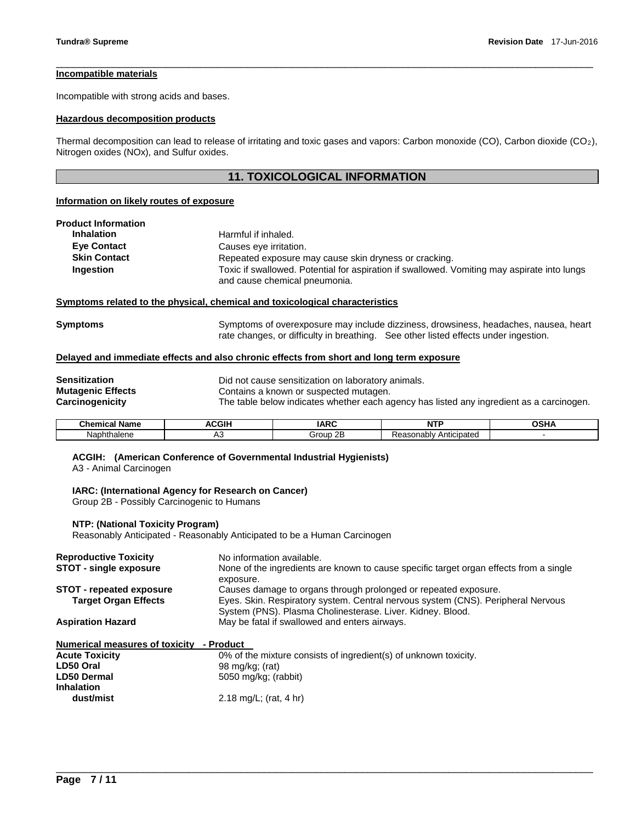#### **Incompatible materials**

Incompatible with strong acids and bases.

#### **Hazardous decomposition products**

Thermal decomposition can lead to release of irritating and toxic gases and vapors: Carbon monoxide (CO), Carbon dioxide (CO2), Nitrogen oxides (NOx), and Sulfur oxides.

\_\_\_\_\_\_\_\_\_\_\_\_\_\_\_\_\_\_\_\_\_\_\_\_\_\_\_\_\_\_\_\_\_\_\_\_\_\_\_\_\_\_\_\_\_\_\_\_\_\_\_\_\_\_\_\_\_\_\_\_\_\_\_\_\_\_\_\_\_\_\_\_\_\_\_\_\_\_\_\_\_\_\_\_\_\_\_\_\_\_\_\_\_

# **11. TOXICOLOGICAL INFORMATION**

### **Information on likely routes of exposure**

| Toxic if swallowed. Potential for aspiration if swallowed. Vomiting may aspirate into lungs |
|---------------------------------------------------------------------------------------------|
|                                                                                             |

#### **Symptoms related to the physical, chemical and toxicological characteristics**

| Symptoms | Symptoms of overexposure may include dizziness, drowsiness, headaches, nausea, heart |
|----------|--------------------------------------------------------------------------------------|
|          | rate changes, or difficulty in breathing. See other listed effects under ingestion.  |

#### **Delayed and immediate effects and also chronic effects from short and long term exposure**

| <b>Sensitization</b>     | Did not cause sensitization on laboratory animals.                                       |
|--------------------------|------------------------------------------------------------------------------------------|
| <b>Mutagenic Effects</b> | Contains a known or suspected mutagen.                                                   |
| Carcinogenicity          | The table below indicates whether each agency has listed any ingredient as a carcinogen. |
|                          |                                                                                          |

| hemical<br>Name | <b>ACGIF</b> | ADC<br>'Ar<br>ını   | .<br>.                                      | $\sim$<br>,,,, |
|-----------------|--------------|---------------------|---------------------------------------------|----------------|
| Naphthalene     | ٦٠.          | 2F<br><br>п.<br>uuu | Anticipated<br>יsonabl∨<br>- - - -<br>леази |                |

#### **ACGIH: (American Conference of Governmental Industrial Hygienists)**

A3 - Animal Carcinogen

#### **IARC: (International Agency for Research on Cancer)**

Group 2B - Possibly Carcinogenic to Humans

#### **NTP: (National Toxicity Program)**

Reasonably Anticipated - Reasonably Anticipated to be a Human Carcinogen

| <b>Reproductive Toxicity</b><br>STOT - single exposure         | No information available.<br>None of the ingredients are known to cause specific target organ effects from a single<br>exposure.                                                                                  |
|----------------------------------------------------------------|-------------------------------------------------------------------------------------------------------------------------------------------------------------------------------------------------------------------|
| <b>STOT - repeated exposure</b><br><b>Target Organ Effects</b> | Causes damage to organs through prolonged or repeated exposure.<br>Eyes. Skin. Respiratory system. Central nervous system (CNS). Peripheral Nervous<br>System (PNS). Plasma Cholinesterase. Liver. Kidney. Blood. |
| <b>Aspiration Hazard</b>                                       | May be fatal if swallowed and enters airways.                                                                                                                                                                     |

| Numerical measures of toxicity - Product |                                                                  |
|------------------------------------------|------------------------------------------------------------------|
| <b>Acute Toxicity</b>                    | 0% of the mixture consists of ingredient(s) of unknown toxicity. |
| LD50 Oral                                | 98 mg/kg; (rat)                                                  |
| <b>LD50 Dermal</b>                       | 5050 mg/kg; (rabbit)                                             |
| <b>Inhalation</b>                        |                                                                  |
| dust/mist                                | 2.18 mg/L; (rat, 4 hr)                                           |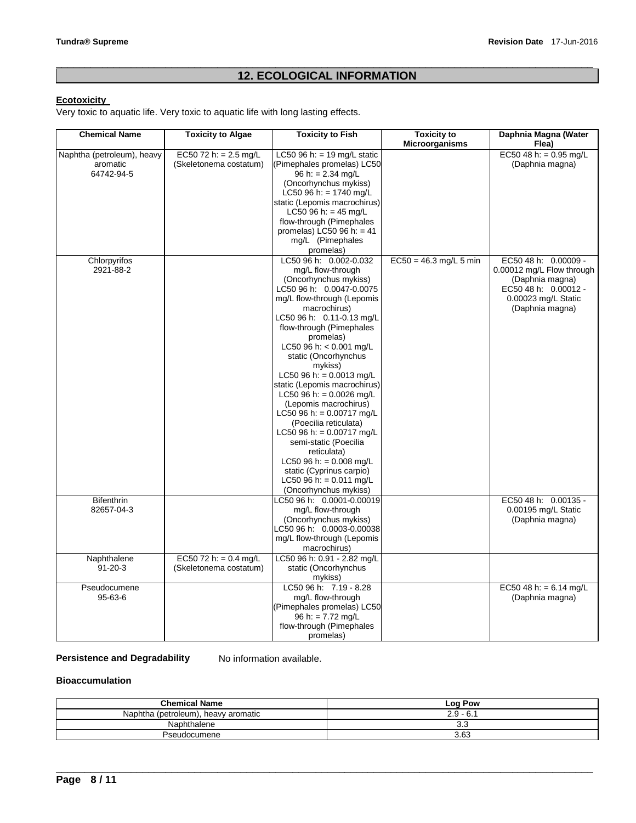#### \_\_\_\_\_\_\_\_\_\_\_\_\_\_\_\_\_\_\_\_\_\_\_\_\_\_\_\_\_\_\_\_\_\_\_\_\_\_\_\_\_\_\_\_\_\_\_\_\_\_\_\_\_\_\_\_\_\_\_\_\_\_\_\_\_\_\_\_\_\_\_\_\_\_\_\_\_\_\_\_\_\_\_\_\_\_\_\_\_\_\_\_\_ **12. ECOLOGICAL INFORMATION**

# **Ecotoxicity**

Very toxic to aquatic life. Very toxic to aquatic life with long lasting effects.

| <b>Chemical Name</b>       | <b>Toxicity to Algae</b>        | <b>Toxicity to Fish</b>              | <b>Toxicity to</b>       | Daphnia Magna (Water      |
|----------------------------|---------------------------------|--------------------------------------|--------------------------|---------------------------|
|                            |                                 |                                      | Microorganisms           | Flea)                     |
| Naphtha (petroleum), heavy | EC50 72 h: = $2.5 \text{ mg/L}$ | LC50 96 h: = 19 mg/L static          |                          | EC50 48 h: = $0.95$ mg/L  |
| aromatic                   | (Skeletonema costatum)          | (Pimephales promelas) LC50           |                          | (Daphnia magna)           |
| 64742-94-5                 |                                 | $96 h = 2.34$ mg/L                   |                          |                           |
|                            |                                 | (Oncorhynchus mykiss)                |                          |                           |
|                            |                                 | LC50 96 h: = $1740$ mg/L             |                          |                           |
|                            |                                 | static (Lepomis macrochirus)         |                          |                           |
|                            |                                 | LC50 96 h: = 45 mg/L                 |                          |                           |
|                            |                                 | flow-through (Pimephales             |                          |                           |
|                            |                                 | promelas) LC50 96 h: = $41$          |                          |                           |
|                            |                                 | mg/L (Pimephales                     |                          |                           |
|                            |                                 | promelas)                            |                          |                           |
| Chlorpyrifos               |                                 | LC50 96 h: 0.002-0.032               | $EC50 = 46.3$ mg/L 5 min | EC50 48 h: 0.00009 -      |
| 2921-88-2                  |                                 | mg/L flow-through                    |                          | 0.00012 mg/L Flow through |
|                            |                                 | (Oncorhynchus mykiss)                |                          | (Daphnia magna)           |
|                            |                                 | LC50 96 h: 0.0047-0.0075             |                          | EC50 48 h: 0.00012 -      |
|                            |                                 | mg/L flow-through (Lepomis           |                          | 0.00023 mg/L Static       |
|                            |                                 | macrochirus)                         |                          | (Daphnia magna)           |
|                            |                                 | LC50 96 h: 0.11-0.13 mg/L            |                          |                           |
|                            |                                 | flow-through (Pimephales             |                          |                           |
|                            |                                 | promelas)                            |                          |                           |
|                            |                                 | LC50 96 h: $<$ 0.001 mg/L            |                          |                           |
|                            |                                 | static (Oncorhynchus                 |                          |                           |
|                            |                                 | mykiss)                              |                          |                           |
|                            |                                 | LC50 96 h: = $0.0013$ mg/L           |                          |                           |
|                            |                                 | static (Lepomis macrochirus)         |                          |                           |
|                            |                                 | LC50 96 h: = $0.0026$ mg/L           |                          |                           |
|                            |                                 | (Lepomis macrochirus)                |                          |                           |
|                            |                                 | LC50 96 h: = $0.00717$ mg/L          |                          |                           |
|                            |                                 | (Poecilia reticulata)                |                          |                           |
|                            |                                 | LC50 96 h: = $0.00717$ mg/L          |                          |                           |
|                            |                                 | semi-static (Poecilia<br>reticulata) |                          |                           |
|                            |                                 | LC50 96 h: = $0.008$ mg/L            |                          |                           |
|                            |                                 | static (Cyprinus carpio)             |                          |                           |
|                            |                                 | LC50 96 h: = $0.011$ mg/L            |                          |                           |
|                            |                                 | (Oncorhynchus mykiss)                |                          |                           |
| <b>Bifenthrin</b>          |                                 | C50 96 h: 0.0001-0.00019             |                          | EC50 48 h: 0.00135 -      |
| 82657-04-3                 |                                 | mg/L flow-through                    |                          | 0.00195 mg/L Static       |
|                            |                                 | (Oncorhynchus mykiss)                |                          | (Daphnia magna)           |
|                            |                                 | LC50 96 h: 0.0003-0.00038            |                          |                           |
|                            |                                 | mg/L flow-through (Lepomis           |                          |                           |
|                            |                                 | macrochirus)                         |                          |                           |
| Naphthalene                | EC50 72 h: = $0.4$ mg/L         | LC50 96 h: 0.91 - 2.82 mg/L          |                          |                           |
| 91-20-3                    | (Skeletonema costatum)          | static (Oncorhynchus                 |                          |                           |
|                            |                                 | mykiss)                              |                          |                           |
| Pseudocumene               |                                 | LC50 96 h: 7.19 - 8.28               |                          | EC50 48 h: = $6.14$ mg/L  |
| 95-63-6                    |                                 | mg/L flow-through                    |                          | (Daphnia magna)           |
|                            |                                 | (Pimephales promelas) LC50           |                          |                           |
|                            |                                 | 96 h: = $7.72$ mg/L                  |                          |                           |
|                            |                                 | flow-through (Pimephales             |                          |                           |
|                            |                                 | promelas)                            |                          |                           |

# **Persistence and Degradability** No information available.

#### **Bioaccumulation**

| <b>Chemical Name</b>                   | Log Pow       |
|----------------------------------------|---------------|
| Naphtha (petroleum).<br>heavy aromatic | 2.9<br>$-6.7$ |
| Naphthalene                            | ა.ა           |
| Pseudocumene                           | 3.63          |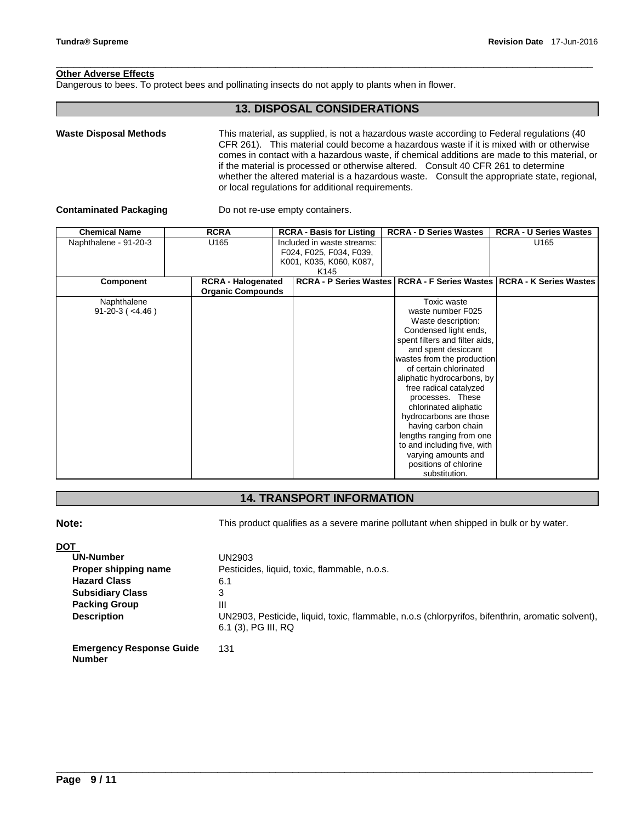### **Other Adverse Effects**

Dangerous to bees. To protect bees and pollinating insects do not apply to plants when in flower.

# **13. DISPOSAL CONSIDERATIONS**

\_\_\_\_\_\_\_\_\_\_\_\_\_\_\_\_\_\_\_\_\_\_\_\_\_\_\_\_\_\_\_\_\_\_\_\_\_\_\_\_\_\_\_\_\_\_\_\_\_\_\_\_\_\_\_\_\_\_\_\_\_\_\_\_\_\_\_\_\_\_\_\_\_\_\_\_\_\_\_\_\_\_\_\_\_\_\_\_\_\_\_\_\_

**Waste Disposal Methods** This material, as supplied, is not a hazardous waste according to Federal regulations (40 CFR 261). This material could become a hazardous waste if it is mixed with or otherwise comes in contact with a hazardous waste, if chemical additions are made to this material, or if the material is processed or otherwise altered. Consult 40 CFR 261 to determine whether the altered material is a hazardous waste. Consult the appropriate state, regional, or local regulations for additional requirements.

**Contaminated Packaging <b>Do not re-use empty containers.** 

| <b>Chemical Name</b>   | <b>RCRA</b>                                           | <b>RCRA - Basis for Listing</b> | <b>RCRA - D Series Wastes</b>                                            | <b>RCRA - U Series Wastes</b> |
|------------------------|-------------------------------------------------------|---------------------------------|--------------------------------------------------------------------------|-------------------------------|
| Naphthalene - 91-20-3  | U165                                                  | Included in waste streams:      |                                                                          | U <sub>165</sub>              |
|                        |                                                       | F024, F025, F034, F039,         |                                                                          |                               |
|                        |                                                       | K001, K035, K060, K087,         |                                                                          |                               |
|                        |                                                       | K145                            |                                                                          |                               |
| <b>Component</b>       | <b>RCRA - Halogenated</b><br><b>Organic Compounds</b> |                                 | RCRA - P Series Wastes   RCRA - F Series Wastes   RCRA - K Series Wastes |                               |
| Naphthalene            |                                                       |                                 | Toxic waste                                                              |                               |
| $91-20-3$ ( $< 4.46$ ) |                                                       |                                 | waste number F025                                                        |                               |
|                        |                                                       |                                 | Waste description:                                                       |                               |
|                        |                                                       |                                 | Condensed light ends,                                                    |                               |
|                        |                                                       |                                 | spent filters and filter aids,                                           |                               |
|                        |                                                       |                                 | and spent desiccant                                                      |                               |
|                        |                                                       |                                 | wastes from the production                                               |                               |
|                        |                                                       |                                 | of certain chlorinated                                                   |                               |
|                        |                                                       |                                 | aliphatic hydrocarbons, by                                               |                               |
|                        |                                                       |                                 | free radical catalyzed                                                   |                               |
|                        |                                                       |                                 | processes. These                                                         |                               |
|                        |                                                       |                                 | chlorinated aliphatic                                                    |                               |
|                        |                                                       |                                 | hydrocarbons are those                                                   |                               |
|                        |                                                       |                                 | having carbon chain                                                      |                               |
|                        |                                                       |                                 | lengths ranging from one                                                 |                               |
|                        |                                                       |                                 | to and including five, with                                              |                               |
|                        |                                                       |                                 | varying amounts and                                                      |                               |
|                        |                                                       |                                 | positions of chlorine                                                    |                               |
|                        |                                                       |                                 | substitution.                                                            |                               |

# **14. TRANSPORT INFORMATION**

Note: **Note: This product qualifies as a severe marine pollutant when shipped in bulk or by water.** 

| DOT                                              |                                                                                                                         |
|--------------------------------------------------|-------------------------------------------------------------------------------------------------------------------------|
| <b>UN-Number</b>                                 | UN2903                                                                                                                  |
| Proper shipping name                             | Pesticides, liquid, toxic, flammable, n.o.s.                                                                            |
| <b>Hazard Class</b>                              | 6.1                                                                                                                     |
| <b>Subsidiary Class</b>                          | 3                                                                                                                       |
| <b>Packing Group</b>                             | Ш                                                                                                                       |
| <b>Description</b>                               | UN2903, Pesticide, liquid, toxic, flammable, n.o.s (chlorpyrifos, bifenthrin, aromatic solvent),<br>6.1 (3), PG III, RQ |
| <b>Emergency Response Guide</b><br><b>Number</b> | 131                                                                                                                     |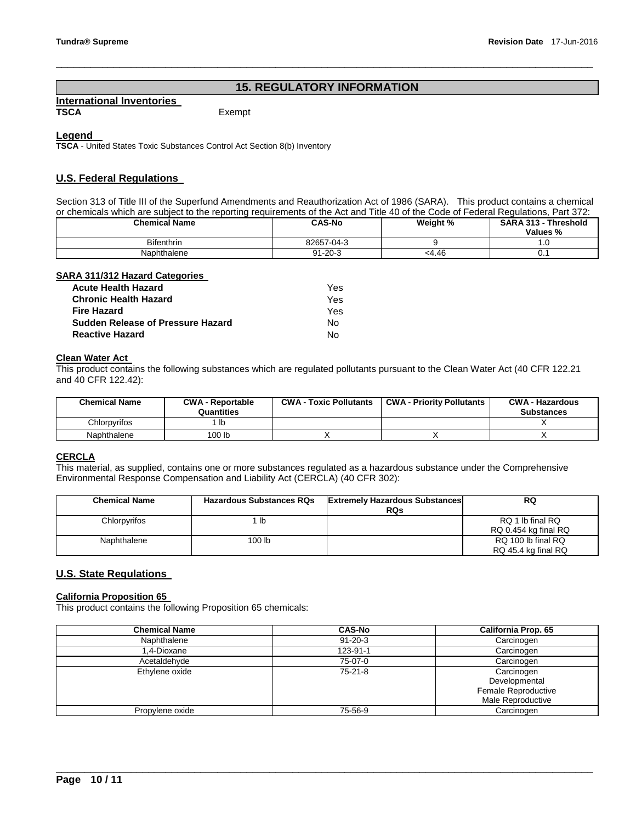# **15. REGULATORY INFORMATION**

\_\_\_\_\_\_\_\_\_\_\_\_\_\_\_\_\_\_\_\_\_\_\_\_\_\_\_\_\_\_\_\_\_\_\_\_\_\_\_\_\_\_\_\_\_\_\_\_\_\_\_\_\_\_\_\_\_\_\_\_\_\_\_\_\_\_\_\_\_\_\_\_\_\_\_\_\_\_\_\_\_\_\_\_\_\_\_\_\_\_\_\_\_

#### **International Inventories TSCA** Exempt

#### **Legend**

**TSCA** - United States Toxic Substances Control Act Section 8(b) Inventory

### **U.S. Federal Regulations**

Section 313 of Title III of the Superfund Amendments and Reauthorization Act of 1986 (SARA). This product contains a chemical or chemicals which are subject to the reporting requirements of the Act and Title 40 of the Code of Federal Regulations, Part 372:

| <b>Chemical Name</b> | <b>CAS-No</b> | Weight % | <b>SARA 313 - Threshold</b><br>Values % |
|----------------------|---------------|----------|-----------------------------------------|
| <b>Bifenthrin</b>    | 82657-04-3    |          | l.U                                     |
| Naphthalene          | 91-20-3       | <4.46    | v.                                      |

#### **SARA 311/312 Hazard Categories**

| <b>Acute Health Hazard</b>               | Yes |
|------------------------------------------|-----|
| <b>Chronic Health Hazard</b>             | Yes |
| <b>Fire Hazard</b>                       | Yes |
| <b>Sudden Release of Pressure Hazard</b> | No. |
| <b>Reactive Hazard</b>                   | Nο  |

#### **Clean Water Act**

This product contains the following substances which are regulated pollutants pursuant to the Clean Water Act (40 CFR 122.21 and 40 CFR 122.42):

| <b>Chemical Name</b> | <b>CWA - Reportable</b><br>Quantities | <b>CWA - Toxic Pollutants</b> | <b>CWA - Priority Pollutants</b> | <b>CWA - Hazardous</b><br><b>Substances</b> |
|----------------------|---------------------------------------|-------------------------------|----------------------------------|---------------------------------------------|
| Chlorpyrifos         | lb                                    |                               |                                  |                                             |
| Naphthalene          | 100 <sub>lb</sub>                     |                               |                                  |                                             |

### **CERCLA**

This material, as supplied, contains one or more substances regulated as a hazardous substance under the Comprehensive Environmental Response Compensation and Liability Act (CERCLA) (40 CFR 302):

| <b>Chemical Name</b> | <b>Hazardous Substances RQs</b> | <b>Extremely Hazardous Substances</b><br><b>RQs</b> | RQ                                        |
|----------------------|---------------------------------|-----------------------------------------------------|-------------------------------------------|
| Chlorpyrifos         | lb                              |                                                     | RQ 1 lb final RQ<br>RQ 0.454 kg final RQ  |
| Naphthalene          | 100 <sub>lb</sub>               |                                                     | RQ 100 lb final RQ<br>RQ 45.4 kg final RQ |

# **U.S. State Regulations**

#### **California Proposition 65**

This product contains the following Proposition 65 chemicals:

| <b>Chemical Name</b> | <b>CAS-No</b> | <b>California Prop. 65</b> |
|----------------------|---------------|----------------------------|
| Naphthalene          | $91 - 20 - 3$ | Carcinogen                 |
| 1.4-Dioxane          | 123-91-1      | Carcinogen                 |
| Acetaldehyde         | 75-07-0       | Carcinogen                 |
| Ethylene oxide       | $75-21-8$     | Carcinogen                 |
|                      |               | Developmental              |
|                      |               | Female Reproductive        |
|                      |               | Male Reproductive          |
| Propylene oxide      | 75-56-9       | Carcinogen                 |